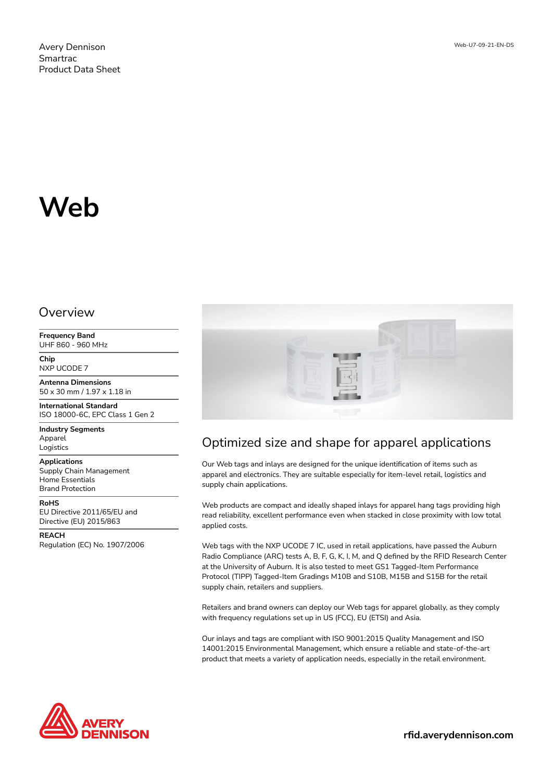Web-U7-09-21-EN-DS

# **Web**

#### Overview

**Frequency Band** UHF 860 - 960 MHz

**Chip** NXP UCODE 7

**Antenna Dimensions** 50 x 30 mm / 1.97 x 1.18 in

**International Standard** ISO 18000-6C, EPC Class 1 Gen 2

**Industry Segments** Apparel Logistics

**Applications**

Supply Chain Management Home Essentials Brand Protection

**RoHS** EU Directive 2011/65/EU and

Directive (EU) 2015/863 **REACH**

Regulation (EC) No. 1907/2006



## Optimized size and shape for apparel applications

Our Web tags and inlays are designed for the unique identification of items such as apparel and electronics. They are suitable especially for item-level retail, logistics and supply chain applications.

Web products are compact and ideally shaped inlays for apparel hang tags providing high read reliability, excellent performance even when stacked in close proximity with low total applied costs.

Web tags with the NXP UCODE 7 IC, used in retail applications, have passed the Auburn Radio Compliance (ARC) tests A, B, F, G, K, I, M, and Q defined by the RFID Research Center at the University of Auburn. It is also tested to meet GS1 Tagged-Item Performance Protocol (TIPP) Tagged-Item Gradings M10B and S10B, M15B and S15B for the retail supply chain, retailers and suppliers.

Retailers and brand owners can deploy our Web tags for apparel globally, as they comply with frequency regulations set up in US (FCC), EU (ETSI) and Asia.

Our inlays and tags are compliant with ISO 9001:2015 Quality Management and ISO 14001:2015 Environmental Management, which ensure a reliable and state-of-the-art product that meets a variety of application needs, especially in the retail environment.